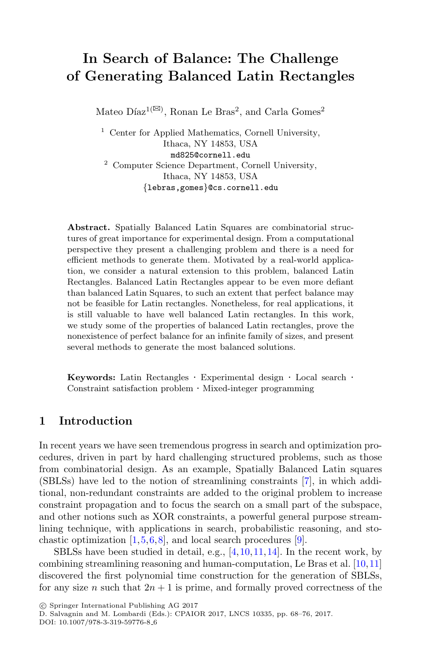# **In Search of Balance: The Challenge of Generating Balanced Latin Rectangles**

Mateo Díaz $^{1(\boxtimes)}$ , Ronan Le Bras<sup>2</sup>, and Carla Gomes<sup>2</sup>

 $1$  Center for Applied Mathematics, Cornell University, Ithaca, NY 14853, USA md825@cornell.edu <sup>2</sup> Computer Science Department, Cornell University, Ithaca, NY 14853, USA *{*lebras,gomes*}*@cs.cornell.edu

**Abstract.** Spatially Balanced Latin Squares are combinatorial structures of great importance for experimental design. From a computational perspective they present a challenging problem and there is a need for efficient methods to generate them. Motivated by a real-world application, we consider a natural extension to this problem, balanced Latin Rectangles. Balanced Latin Rectangles appear to be even more defiant than balanced Latin Squares, to such an extent that perfect balance may not be feasible for Latin rectangles. Nonetheless, for real applications, it is still valuable to have well balanced Latin rectangles. In this work, we study some of the properties of balanced Latin rectangles, prove the nonexistence of perfect balance for an infinite family of sizes, and present several methods to generate the most balanced solutions.

**Keywords:** Latin Rectangles  $\cdot$  Experimental design  $\cdot$  Local search  $\cdot$  Constraint satisfaction problem  $\cdot$  Mixed-integer programming

## **1 Introduction**

In recent years we have seen tremendous progress in search and optimization procedures, driven in part by hard challenging structured problems, such as those from combinatorial design. As an example, Spatially Balanced Latin squares (SBLSs) have led to the notion of streamlining constraints [\[7\]](#page-8-0), in which additional, non-redundant constraints are added to the original problem to increase constraint propagation and to focus the search on a small part of the subspace, and other notions such as XOR constraints, a powerful general purpose streamlining technique, with applications in search, probabilistic reasoning, and stochastic optimization  $[1,5,6,8]$  $[1,5,6,8]$  $[1,5,6,8]$  $[1,5,6,8]$  $[1,5,6,8]$ , and local search procedures  $[9]$  $[9]$ .

SBLSs have been studied in detail, e.g., [\[4](#page-8-5)[,10,](#page-8-6)[11](#page-8-7)[,14](#page-8-8)]. In the recent work, by combining streamlining reasoning and human-computation, Le Bras et al. [\[10](#page-8-6)[,11](#page-8-7)] discovered the first polynomial time construction for the generation of SBLSs, for any size n such that  $2n + 1$  is prime, and formally proved correctness of the

<sup>-</sup>c Springer International Publishing AG 2017

D. Salvagnin and M. Lombardi (Eds.): CPAIOR 2017, LNCS 10335, pp. 68–76, 2017.

DOI: 10.1007/978-3-319-59776-8<sub>-6</sub>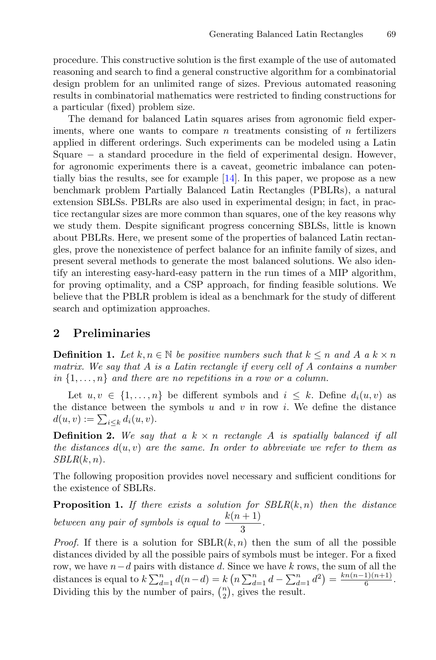procedure. This constructive solution is the first example of the use of automated reasoning and search to find a general constructive algorithm for a combinatorial design problem for an unlimited range of sizes. Previous automated reasoning results in combinatorial mathematics were restricted to finding constructions for a particular (fixed) problem size.

The demand for balanced Latin squares arises from agronomic field experiments, where one wants to compare n treatments consisting of  $n$  fertilizers applied in different orderings. Such experiments can be modeled using a Latin Square − a standard procedure in the field of experimental design. However, for agronomic experiments there is a caveat, geometric imbalance can potentially bias the results, see for example [\[14](#page-8-8)]. In this paper, we propose as a new benchmark problem Partially Balanced Latin Rectangles (PBLRs), a natural extension SBLSs. PBLRs are also used in experimental design; in fact, in practice rectangular sizes are more common than squares, one of the key reasons why we study them. Despite significant progress concerning SBLSs, little is known about PBLRs. Here, we present some of the properties of balanced Latin rectangles, prove the nonexistence of perfect balance for an infinite family of sizes, and present several methods to generate the most balanced solutions. We also identify an interesting easy-hard-easy pattern in the run times of a MIP algorithm, for proving optimality, and a CSP approach, for finding feasible solutions. We believe that the PBLR problem is ideal as a benchmark for the study of different search and optimization approaches.

## **2 Preliminaries**

**Definition 1.** Let  $k, n \in \mathbb{N}$  be positive numbers such that  $k \leq n$  and A a  $k \times n$ *matrix. We say that* A *is a Latin rectangle if every cell of* A *contains a number*  $in \{1, \ldots, n\}$  and there are no repetitions in a row or a column.

Let  $u, v \in \{1, \ldots, n\}$  be different symbols and  $i \leq k$ . Define  $d_i(u, v)$  as the distance between the symbols  $u$  and  $v$  in row  $i$ . We define the distance  $d(u, v) := \sum_{i \leq k} d_i(u, v).$ 

**Definition 2.** We say that a  $k \times n$  rectangle A is spatially balanced if all *the distances*  $d(u, v)$  *are the same. In order to abbreviate we refer to them as SBLR*(k, n)*.*

<span id="page-1-0"></span>The following proposition provides novel necessary and sufficient conditions for the existence of SBLRs.

**Proposition 1.** *If there exists a solution for*  $SBLR(k, n)$  *then the distance between any pair of symbols is equal to*  $\frac{k(n+1)}{3}$ .

*Proof.* If there is a solution for  $\text{SBLR}(k, n)$  then the sum of all the possible distances divided by all the possible pairs of symbols must be integer. For a fixed row, we have  $n-d$  pairs with distance d. Since we have k rows, the sum of all the distances is equal to  $k \sum_{d=1}^{n} d(n-d) = k (n \sum_{d=1}^{n} d - \sum_{d=1}^{n} d^{2}) = \frac{kn(n-1)(n+1)}{6}$ . Dividing this by the number of pairs,  $\binom{n}{2}$ , gives the result.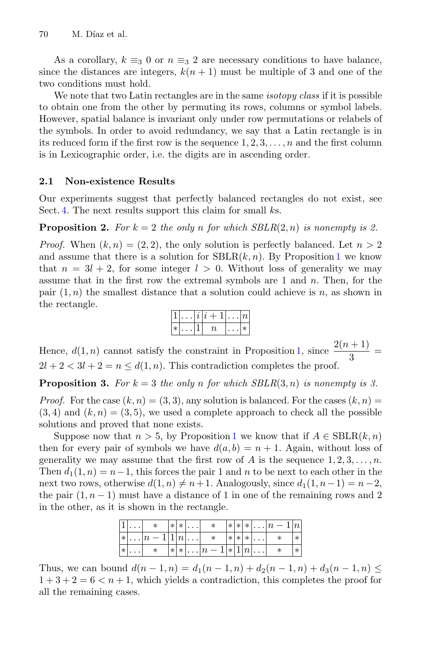As a corollary,  $k \equiv_3 0$  or  $n \equiv_3 2$  are necessary conditions to have balance, since the distances are integers,  $k(n + 1)$  must be multiple of 3 and one of the two conditions must hold.

We note that two Latin rectangles are in the same *isotopy class* if it is possible to obtain one from the other by permuting its rows, columns or symbol labels. However, spatial balance is invariant only under row permutations or relabels of the symbols. In order to avoid redundancy, we say that a Latin rectangle is in its reduced form if the first row is the sequence  $1, 2, 3, \ldots, n$  and the first column is in Lexicographic order, i.e. the digits are in ascending order.

#### **2.1 Non-existence Results**

Our experiments suggest that perfectly balanced rectangles do not exist, see Sect. [4.](#page-5-0) The next results support this claim for small ks.

**Proposition 2.** For  $k = 2$  the only n for which  $SBLR(2, n)$  is nonempty is 2.

*Proof.* When  $(k, n) = (2, 2)$ , the only solution is perfectly balanced. Let  $n > 2$ and assume that there is a solution for  $\text{SBLR}(k, n)$ . By Proposition [1](#page-1-0) we know that  $n = 3l + 2$ , for some integer  $l > 0$ . Without loss of generality we may assume that in the first row the extremal symbols are  $1$  and  $n$ . Then, for the pair  $(1, n)$  the smallest distance that a solution could achieve is n, as shown in the rectangle.



Hence,  $d(1, n)$  $d(1, n)$  $d(1, n)$  cannot satisfy the constraint in Proposition 1, since  $\frac{2(n+1)}{3}$  =  $2l + 2 < 3l + 2 = n \leq d(1, n)$ . This contradiction completes the proof.

**Proposition 3.** For  $k = 3$  the only n for which  $SBLR(3, n)$  is nonempty is 3.

*Proof.* For the case  $(k, n) = (3, 3)$ , any solution is balanced. For the cases  $(k, n) =$  $(3, 4)$  and  $(k, n) = (3, 5)$ , we used a complete approach to check all the possible solutions and proved that none exists.

Suppose now that  $n > 5$ , by Proposition [1](#page-1-0) we know that if  $A \in \text{SBLR}(k, n)$ then for every pair of symbols we have  $d(a, b) = n + 1$ . Again, without loss of generality we may assume that the first row of A is the sequence  $1, 2, 3, \ldots, n$ . Then  $d_1(1, n) = n-1$ , this forces the pair 1 and n to be next to each other in the next two rows, otherwise  $d(1, n) \neq n+1$ . Analogously, since  $d_1(1, n-1) = n-2$ , the pair  $(1, n-1)$  must have a distance of 1 in one of the remaining rows and 2 in the other, as it is shown in the rectangle.

|           |  |   | $ * *$ |  |   |           | ***      | $\boldsymbol{n}$ |        |
|-----------|--|---|--------|--|---|-----------|----------|------------------|--------|
| $\ast$    |  |   |        |  |   | $*$   $*$ | $\ast$   |                  | s<br>ቶ |
| $\vert *$ |  | ∗ | $\ast$ |  | s |           | $\infty$ |                  | $\ast$ |

Thus, we can bound  $d(n-1,n) = d_1(n-1,n) + d_2(n-1,n) + d_3(n-1,n) \leq$  $1+3+2=6 < n+1$ , which yields a contradiction, this completes the proof for all the remaining cases.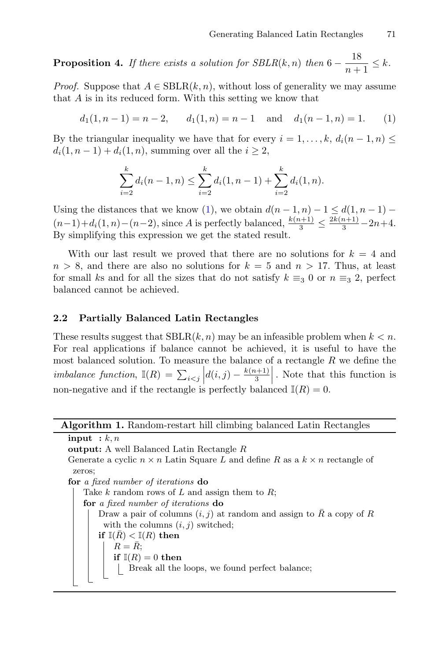# **Proposition 4.** *If there exists a solution for SBLR*( $k, n$ ) *then*  $6 - \frac{18}{n+1} \leq k$ *.*

*Proof.* Suppose that  $A \in \text{SBLR}(k, n)$ , without loss of generality we may assume that A is in its reduced form. With this setting we know that

$$
d_1(1, n-1) = n-2
$$
,  $d_1(1, n) = n-1$  and  $d_1(n-1, n) = 1$ . (1)

<span id="page-3-0"></span>By the triangular inequality we have that for every  $i = 1, \ldots, k, d_i(n-1, n) \leq$  $d_i(1, n-1) + d_i(1, n)$ , summing over all the  $i \ge 2$ ,

$$
\sum_{i=2}^{k} d_i(n-1, n) \le \sum_{i=2}^{k} d_i(1, n-1) + \sum_{i=2}^{k} d_i(1, n).
$$

Using the distances that we know [\(1\)](#page-3-0), we obtain  $d(n-1,n)-1 \leq d(1, n-1)$  –  $(n-1)+d_i(1, n)-(n-2)$ , since A is perfectly balanced,  $\frac{k(n+1)}{3} \leq \frac{2k(n+1)}{3}-2n+4$ . By simplifying this expression we get the stated result.

With our last result we proved that there are no solutions for  $k = 4$  and  $n > 8$ , and there are also no solutions for  $k = 5$  and  $n > 17$ . Thus, at least for small ks and for all the sizes that do not satisfy  $k \equiv_3 0$  or  $n \equiv_3 2$ , perfect balanced cannot be achieved.

### <span id="page-3-1"></span>**2.2 Partially Balanced Latin Rectangles**

These results suggest that  $\text{SBLR}(k, n)$  may be an infeasible problem when  $k < n$ . For real applications if balance cannot be achieved, it is useful to have the most balanced solution. To measure the balance of a rectangle  $R$  we define the *imbalance function*,  $\mathbb{I}(R) = \sum_{i < j} \left| d(i, j) - \frac{k(n+1)}{3} \right|$ . Note that this function is non-negative and if the rectangle is perfectly balanced  $\mathbb{I}(R) = 0$ .

#### **Algorithm 1.** Random-restart hill climbing balanced Latin Rectangles

**input :** *k, n* **output:** A well Balanced Latin Rectangle *R* Generate a cyclic  $n \times n$  Latin Square *L* and define *R* as a  $k \times n$  rectangle of zeros; **for** *a fixed number of iterations* **do** Take *k* random rows of *L* and assign them to *R*; **for** *a fixed number of iterations* **do** Draw a pair of columns  $(i, j)$  at random and assign to  $\overline{R}$  a copy of  $R$ with the columns  $(i, j)$  switched; **if**  $\mathbb{I}(\bar{R}) < \mathbb{I}(R)$  **then**  $R = \bar{R}$ ; **if**  $\mathbb{I}(R) = 0$  **then** Break all the loops, we found perfect balance;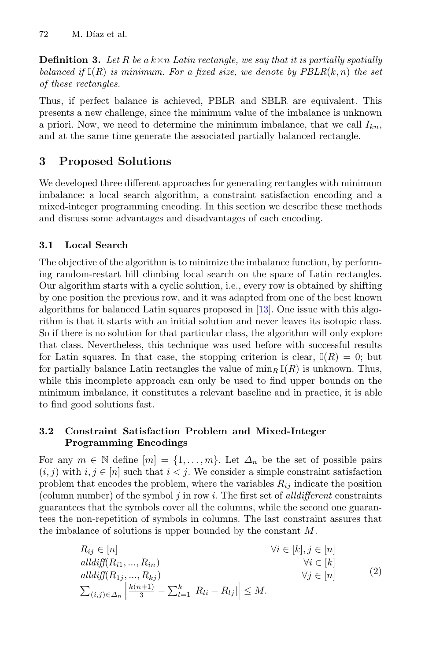**Definition 3.** Let R be a  $k \times n$  Latin rectangle, we say that it is partially spatially *balanced if*  $\mathbb{I}(R)$  *is minimum. For a fixed size, we denote by*  $\text{PBLR}(k,n)$  *the set of these rectangles.*

Thus, if perfect balance is achieved, PBLR and SBLR are equivalent. This presents a new challenge, since the minimum value of the imbalance is unknown a priori. Now, we need to determine the minimum imbalance, that we call  $I_{kn}$ , and at the same time generate the associated partially balanced rectangle.

# **3 Proposed Solutions**

We developed three different approaches for generating rectangles with minimum imbalance: a local search algorithm, a constraint satisfaction encoding and a mixed-integer programming encoding. In this section we describe these methods and discuss some advantages and disadvantages of each encoding.

# **3.1 Local Search**

The objective of the algorithm is to minimize the imbalance function, by performing random-restart hill climbing local search on the space of Latin rectangles. Our algorithm starts with a cyclic solution, i.e., every row is obtained by shifting by one position the previous row, and it was adapted from one of the best known algorithms for balanced Latin squares proposed in [\[13\]](#page-8-9). One issue with this algorithm is that it starts with an initial solution and never leaves its isotopic class. So if there is no solution for that particular class, the algorithm will only explore that class. Nevertheless, this technique was used before with successful results for Latin squares. In that case, the stopping criterion is clear,  $\mathbb{I}(R) = 0$ ; but for partially balance Latin rectangles the value of  $\min_R \mathbb{I}(R)$  is unknown. Thus, while this incomplete approach can only be used to find upper bounds on the minimum imbalance, it constitutes a relevant baseline and in practice, it is able to find good solutions fast.

# **3.2 Constraint Satisfaction Problem and Mixed-Integer Programming Encodings**

For any  $m \in \mathbb{N}$  define  $[m] = \{1, \ldots, m\}$ . Let  $\Delta_n$  be the set of possible pairs  $(i, j)$  with  $i, j \in [n]$  such that  $i < j$ . We consider a simple constraint satisfaction problem that encodes the problem, where the variables  $R_{ij}$  indicate the position (column number) of the symbol j in row i. The first set of *alldifferent* constraints guarantees that the symbols cover all the columns, while the second one guarantees the non-repetition of symbols in columns. The last constraint assures that the imbalance of solutions is upper bounded by the constant M.

<span id="page-4-0"></span>
$$
R_{ij} \in [n] \qquad \forall i \in [k], j \in [n] \qquad \text{d}ldiff(R_{i1}, ..., R_{in}) \qquad \forall i \in [k], j \in [n] \qquad \text{d}ldiff(R_{1j}, ..., R_{kj}) \qquad \forall j \in [n] \qquad (2) \qquad \sum_{(i,j) \in \Delta_n} \left| \frac{k(n+1)}{3} - \sum_{l=1}^k |R_{li} - R_{lj}| \right| \le M.
$$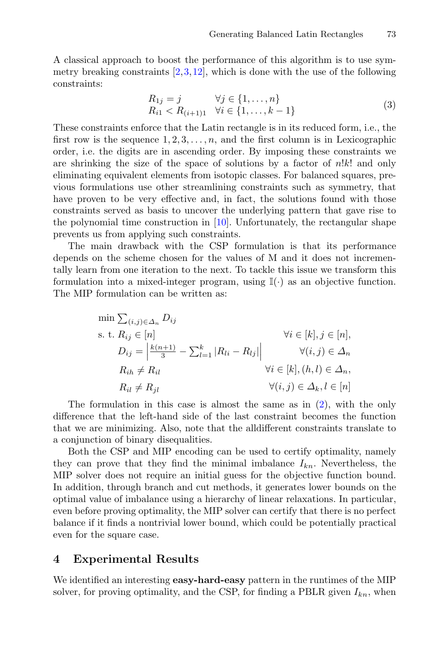A classical approach to boost the performance of this algorithm is to use symmetry breaking constraints  $[2,3,12]$  $[2,3,12]$  $[2,3,12]$  $[2,3,12]$ , which is done with the use of the following constraints:

$$
R_{1j} = j \qquad \forall j \in \{1, ..., n\} R_{i1} < R_{(i+1)1} \quad \forall i \in \{1, ..., k-1\}
$$
 (3)

These constraints enforce that the Latin rectangle is in its reduced form, i.e., the first row is the sequence  $1, 2, 3, \ldots, n$ , and the first column is in Lexicographic order, i.e. the digits are in ascending order. By imposing these constraints we are shrinking the size of the space of solutions by a factor of  $n!k!$  and only eliminating equivalent elements from isotopic classes. For balanced squares, previous formulations use other streamlining constraints such as symmetry, that have proven to be very effective and, in fact, the solutions found with those constraints served as basis to uncover the underlying pattern that gave rise to the polynomial time construction in [\[10](#page-8-6)]. Unfortunately, the rectangular shape prevents us from applying such constraints.

The main drawback with the CSP formulation is that its performance depends on the scheme chosen for the values of M and it does not incrementally learn from one iteration to the next. To tackle this issue we transform this formulation into a mixed-integer program, using  $\mathbb{I}(\cdot)$  as an objective function. The MIP formulation can be written as:

$$
\min \sum_{(i,j)\in\Delta_n} D_{ij}
$$
\ns. t.  $R_{ij} \in [n]$   
\n
$$
D_{ij} = \left| \frac{k(n+1)}{3} - \sum_{l=1}^k |R_{li} - R_{lj}| \right| \qquad \forall (i,j) \in \Delta_n
$$
\n
$$
R_{ih} \neq R_{il} \qquad \forall i \in [k], (h,l) \in \Delta_n,
$$
\n
$$
R_{il} \neq R_{jl} \qquad \forall (i,j) \in \Delta_k, l \in [n]
$$

The formulation in this case is almost the same as in [\(2\)](#page-4-0), with the only difference that the left-hand side of the last constraint becomes the function that we are minimizing. Also, note that the alldifferent constraints translate to a conjunction of binary disequalities.

Both the CSP and MIP encoding can be used to certify optimality, namely they can prove that they find the minimal imbalance  $I_{kn}$ . Nevertheless, the MIP solver does not require an initial guess for the objective function bound. In addition, through branch and cut methods, it generates lower bounds on the optimal value of imbalance using a hierarchy of linear relaxations. In particular, even before proving optimality, the MIP solver can certify that there is no perfect balance if it finds a nontrivial lower bound, which could be potentially practical even for the square case.

## <span id="page-5-0"></span>**4 Experimental Results**

We identified an interesting **easy-hard-easy** pattern in the runtimes of the MIP solver, for proving optimality, and the CSP, for finding a PBLR given  $I_{kn}$ , when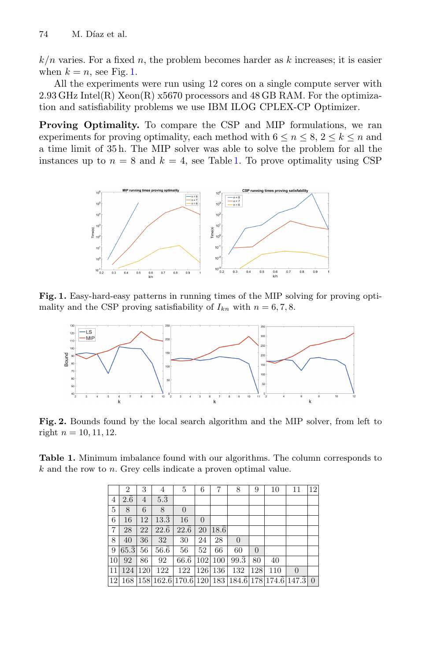$k/n$  varies. For a fixed n, the problem becomes harder as k increases; it is easier when  $k = n$ , see Fig. [1.](#page-6-0)

All the experiments were run using 12 cores on a single compute server with  $2.93 \text{ GHz Intel(R)}$  Xeon(R)  $x5670$  processors and 48 GB RAM. For the optimization and satisfiability problems we use IBM ILOG CPLEX-CP Optimizer.

**Proving Optimality.** To compare the CSP and MIP formulations, we ran experiments for proving optimality, each method with  $6 \le n \le 8, 2 \le k \le n$  and a time limit of 35 h. The MIP solver was able to solve the problem for all the instances up to  $n = 8$  and  $k = 4$ , see Table [1.](#page-6-1) To prove optimality using CSP



<span id="page-6-0"></span>**Fig. 1.** Easy-hard-easy patterns in running times of the MIP solving for proving optimality and the CSP proving satisfiability of  $I_{kn}$  with  $n = 6, 7, 8$ .



<span id="page-6-2"></span>**Fig. 2.** Bounds found by the local search algorithm and the MIP solver, from left to  $right n = 10, 11, 12.$ 

<span id="page-6-1"></span>**Table 1.** Minimum imbalance found with our algorithms. The column corresponds to *k* and the row to *n*. Grey cells indicate a proven optimal value.

|                | $\overline{2}$    | 3              | 4                 | 5                             | 6              |                   | 8                 | 9              | 10  | 11                                                                                                              | 12 |
|----------------|-------------------|----------------|-------------------|-------------------------------|----------------|-------------------|-------------------|----------------|-----|-----------------------------------------------------------------------------------------------------------------|----|
| $\overline{4}$ | $2.\overline{6}$  | $\overline{4}$ | $5.\overline{3}$  |                               |                |                   |                   |                |     |                                                                                                                 |    |
| $\overline{5}$ | 8                 | 6              | 8                 | $\overline{0}$                |                |                   |                   |                |     |                                                                                                                 |    |
| 6              | 16                | 12             | $13.\bar{3}$      | 16                            | $\overline{0}$ |                   |                   |                |     |                                                                                                                 |    |
| 7              | 28                | 22             | $\overline{22.6}$ | $\overline{22.6}$             | 20             | $18.\overline{6}$ |                   |                |     |                                                                                                                 |    |
| 8              | 40                | 36             | 32                | 30                            | 24             | 28                | $\theta$          |                |     |                                                                                                                 |    |
| 9              | $65.\overline{3}$ | 56             | $56.\bar{6}$      | 56                            | $52^{\circ}$   | 66                | 60                | $\overline{0}$ |     |                                                                                                                 |    |
| 10             | 92                | 86             | 92                | $66.\overline{6}$   102   100 |                |                   | $99.\overline{3}$ | 80             | 40  |                                                                                                                 |    |
| 11             | 124 120           |                | 122               | $122$   $126$   $136$         |                |                   | 132               | 128            | 110 | $\Omega$                                                                                                        |    |
|                |                   |                |                   |                               |                |                   |                   |                |     | $12 168 158 162.\overline{6} 170.\overline{6} 120 183 184.\overline{6} 178 174.\overline{6} 147.\overline{3} 0$ |    |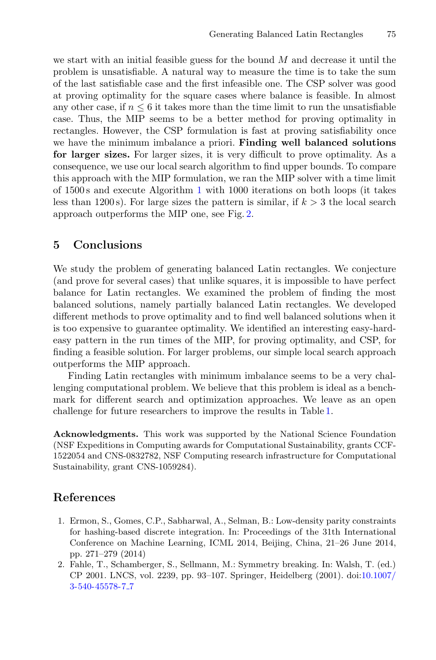we start with an initial feasible guess for the bound  $M$  and decrease it until the problem is unsatisfiable. A natural way to measure the time is to take the sum of the last satisfiable case and the first infeasible one. The CSP solver was good at proving optimality for the square cases where balance is feasible. In almost any other case, if  $n \leq 6$  it takes more than the time limit to run the unsatisfiable case. Thus, the MIP seems to be a better method for proving optimality in rectangles. However, the CSP formulation is fast at proving satisfiability once we have the minimum imbalance a priori. **Finding well balanced solutions for larger sizes.** For larger sizes, it is very difficult to prove optimality. As a consequence, we use our local search algorithm to find upper bounds. To compare this approach with the MIP formulation, we ran the MIP solver with a time limit of 1500 s and execute Algorithm [1](#page-3-1) with 1000 iterations on both loops (it takes less than 1200 s). For large sizes the pattern is similar, if  $k > 3$  the local search approach outperforms the MIP one, see Fig. [2.](#page-6-2)

# **5 Conclusions**

We study the problem of generating balanced Latin rectangles. We conjecture (and prove for several cases) that unlike squares, it is impossible to have perfect balance for Latin rectangles. We examined the problem of finding the most balanced solutions, namely partially balanced Latin rectangles. We developed different methods to prove optimality and to find well balanced solutions when it is too expensive to guarantee optimality. We identified an interesting easy-hardeasy pattern in the run times of the MIP, for proving optimality, and CSP, for finding a feasible solution. For larger problems, our simple local search approach outperforms the MIP approach.

Finding Latin rectangles with minimum imbalance seems to be a very challenging computational problem. We believe that this problem is ideal as a benchmark for different search and optimization approaches. We leave as an open challenge for future researchers to improve the results in Table [1.](#page-6-1)

**Acknowledgments.** This work was supported by the National Science Foundation (NSF Expeditions in Computing awards for Computational Sustainability, grants CCF-1522054 and CNS-0832782, NSF Computing research infrastructure for Computational Sustainability, grant CNS-1059284).

# **References**

- <span id="page-7-0"></span>1. Ermon, S., Gomes, C.P., Sabharwal, A., Selman, B.: Low-density parity constraints for hashing-based discrete integration. In: Proceedings of the 31th International Conference on Machine Learning, ICML 2014, Beijing, China, 21–26 June 2014, pp. 271–279 (2014)
- <span id="page-7-1"></span>2. Fahle, T., Schamberger, S., Sellmann, M.: Symmetry breaking. In: Walsh, T. (ed.) CP 2001. LNCS, vol. 2239, pp. 93–107. Springer, Heidelberg (2001). doi[:10.1007/](http://dx.doi.org/10.1007/3-540-45578-7_7) [3-540-45578-7](http://dx.doi.org/10.1007/3-540-45578-7_7) 7